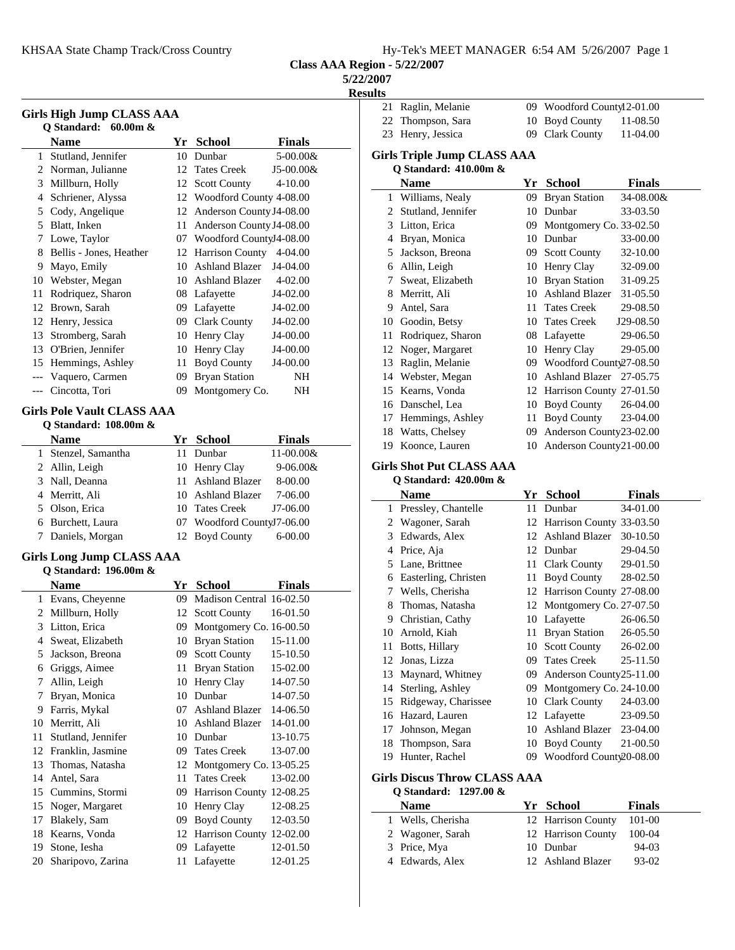**Class AAA Region - 5/22/2007**

**5/22/2007**

**Results**<br>21 Raglin, Melanie

|              |                                                               |    |                             | - 1                       |  |  |
|--------------|---------------------------------------------------------------|----|-----------------------------|---------------------------|--|--|
|              | <b>Girls High Jump CLASS AAA</b><br>Q Standard:<br>$60.00m$ & |    |                             |                           |  |  |
|              | <b>Name</b>                                                   |    |                             |                           |  |  |
|              | Stutland, Jennifer                                            |    | Yr School                   | <b>Finals</b><br>5-00.00& |  |  |
| $\mathbf{1}$ | 2 Norman, Julianne                                            | 10 | Dunbar                      |                           |  |  |
|              |                                                               | 12 | <b>Tates Creek</b>          | J5-00.00&                 |  |  |
|              | 3 Millburn, Holly                                             |    | 12 Scott County             | $4 - 10.00$               |  |  |
| 4            | Schriener, Alyssa                                             |    | 12 Woodford County 4-08.00  |                           |  |  |
|              | 5 Cody, Angelique                                             | 12 | Anderson County J4-08.00    |                           |  |  |
|              | 5 Blatt, Inken                                                |    | 11 Anderson County J4-08.00 |                           |  |  |
|              | 7 Lowe, Taylor                                                |    | 07 Woodford CountyJ4-08.00  |                           |  |  |
| 8            | Bellis - Jones, Heather                                       |    | 12 Harrison County          | 4-04.00                   |  |  |
|              | 9 Mayo, Emily                                                 |    | 10 Ashland Blazer           | $J4-04.00$                |  |  |
|              | 10 Webster, Megan                                             |    | 10 Ashland Blazer           | 4-02.00                   |  |  |
| 11           | Rodriquez, Sharon                                             |    | 08 Lafayette                | J4-02.00                  |  |  |
| 12           | Brown, Sarah                                                  |    | 09 Lafayette                | J4-02.00                  |  |  |
| 12           | Henry, Jessica                                                |    | 09 Clark County             | J4-02.00                  |  |  |
| 13           | Stromberg, Sarah                                              |    | 10 Henry Clay               | J4-00.00                  |  |  |
|              | 13 O'Brien, Jennifer                                          |    | 10 Henry Clay               | J4-00.00                  |  |  |
|              | 15 Hemmings, Ashley                                           | 11 | <b>Boyd County</b>          | J4-00.00                  |  |  |
| ---          | Vaquero, Carmen                                               | 09 | <b>Bryan Station</b>        | NΗ                        |  |  |
| $---$        | Cincotta, Tori                                                | 09 | Montgomery Co.              | NΗ                        |  |  |
|              |                                                               |    |                             |                           |  |  |
|              | <b>Girls Pole Vault CLASS AAA</b>                             |    |                             |                           |  |  |
|              | Q Standard: 108.00m &                                         |    |                             |                           |  |  |
|              | <b>Name</b>                                                   |    | Yr School                   | <b>Finals</b>             |  |  |
|              | 1 Stenzel, Samantha                                           | 11 | Dunbar                      | 11-00.00&                 |  |  |
|              | 2 Allin, Leigh                                                |    | 10 Henry Clay               | 9-06.00&                  |  |  |
| 3            | Nall, Deanna                                                  | 11 | <b>Ashland Blazer</b>       | 8-00.00                   |  |  |
|              | 4 Merritt, Ali                                                | 10 | <b>Ashland Blazer</b>       | 7-06.00                   |  |  |
|              | 5 Olson, Erica                                                |    | 10 Tates Creek              | J7-06.00                  |  |  |
|              | 6 Burchett, Laura                                             |    | 07 Woodford CountyJ7-06.00  |                           |  |  |
| 7            | Daniels, Morgan                                               | 12 | <b>Boyd County</b>          | $6 - 00.00$               |  |  |
|              | <b>Girls Long Jump CLASS AAA</b>                              |    |                             |                           |  |  |
|              | Q Standard: 196.00m &                                         |    |                             |                           |  |  |
|              | <b>Name</b>                                                   |    | Yr School                   | <b>Finals</b>             |  |  |
|              | 1 Evans, Cheyenne                                             |    | 09 Madison Central 16-02.50 |                           |  |  |
| 2            | Millburn, Holly                                               |    | 12 Scott County             | 16-01.50                  |  |  |
| 3            | Litton, Erica                                                 | 09 | Montgomery Co. 16-00.50     |                           |  |  |
| 4            | Sweat, Elizabeth                                              |    | 10 Bryan Station            | 15-11.00                  |  |  |
|              |                                                               |    |                             |                           |  |  |
| 5            | Jackson, Breona                                               | 09 | <b>Scott County</b>         | 15-10.50                  |  |  |
| 6            | Griggs, Aimee                                                 | 11 | <b>Bryan Station</b>        | 15-02.00                  |  |  |
| 7            | Allin, Leigh                                                  | 10 | Henry Clay                  | 14-07.50                  |  |  |
| 7            | Bryan, Monica                                                 |    | 10 Dunbar                   | 14-07.50                  |  |  |
| 9            | Farris, Mykal                                                 | 07 | <b>Ashland Blazer</b>       | 14-06.50                  |  |  |
| 10           | Merritt, Ali                                                  | 10 | <b>Ashland Blazer</b>       | 14-01.00                  |  |  |
| 11           | Stutland, Jennifer                                            |    | 10 Dunbar                   | 13-10.75                  |  |  |
| 12           | Franklin, Jasmine                                             | 09 | <b>Tates Creek</b>          | 13-07.00                  |  |  |
| 13           | Thomas, Natasha                                               | 12 | Montgomery Co. 13-05.25     |                           |  |  |
| 14           | Antel, Sara                                                   | 11 | <b>Tates Creek</b>          | 13-02.00                  |  |  |
| 15           | Cummins, Stormi                                               | 09 | Harrison County 12-08.25    |                           |  |  |
| 15           | Noger, Margaret                                               | 10 | Henry Clay                  | 12-08.25                  |  |  |
| 17           | Blakely, Sam                                                  | 09 | <b>Boyd County</b>          | 12-03.50                  |  |  |
| 18           | Kearns, Vonda                                                 | 12 | Harrison County 12-02.00    |                           |  |  |
| 19           | Stone, Iesha                                                  | 09 | Lafayette                   | 12-01.50                  |  |  |
| 20           | Sharipovo, Zarina                                             | 11 | Lafayette                   | 12-01.25                  |  |  |
|              |                                                               |    |                             |                           |  |  |

| 21           | Raglin, Melanie                    | 09 | Woodford Countyl 2-01.00   |               |
|--------------|------------------------------------|----|----------------------------|---------------|
| 22           | Thompson, Sara                     | 10 | Boyd County                | 11-08.50      |
| 23           | Henry, Jessica                     | 09 | Clark County               | 11-04.00      |
|              | <b>Girls Triple Jump CLASS AAA</b> |    |                            |               |
|              | Q Standard: 410.00m &              |    |                            |               |
|              | <b>Name</b>                        |    | Yr School                  | <b>Finals</b> |
| $\mathbf{1}$ | Williams, Nealy                    | 09 | <b>Bryan Station</b>       | 34-08.00&     |
| 2            | Stutland, Jennifer                 | 10 | Dunbar                     | 33-03.50      |
| 3            | Litton, Erica                      | 09 | Montgomery Co. 33-02.50    |               |
|              | 4 Bryan, Monica                    | 10 | Dunbar                     | 33-00.00      |
| 5.           | Jackson, Breona                    | 09 | <b>Scott County</b>        | 32-10.00      |
| 6            | Allin, Leigh                       | 10 | Henry Clay                 | 32-09.00      |
| 7            | Sweat, Elizabeth                   | 10 | <b>Bryan Station</b>       | 31-09.25      |
| 8            | Merritt, Ali                       | 10 | Ashland Blazer             | 31-05.50      |
| 9            | Antel, Sara                        | 11 | <b>Tates Creek</b>         | 29-08.50      |
| 10           | Goodin, Betsy                      | 10 | <b>Tates Creek</b>         | J29-08.50     |
| 11           | Rodriquez, Sharon                  | 08 | Lafayette                  | 29-06.50      |
|              | 12 Noger, Margaret                 | 10 | Henry Clay                 | 29-05.00      |
| 13           | Raglin, Melanie                    | 09 | Woodford County27-08.50    |               |
| 14           | Webster, Megan                     | 10 | <b>Ashland Blazer</b>      | 27-05.75      |
| 15           | Kearns, Vonda                      | 12 | Harrison County 27-01.50   |               |
| 16           | Danschel, Lea                      | 10 | Boyd County                | 26-04.00      |
| 17           | Hemmings, Ashley                   | 11 | <b>Boyd County</b>         | 23-04.00      |
| 18           | Watts, Chelsey                     | 09 | Anderson County23-02.00    |               |
| 19           | Koonce, Lauren                     |    | 10 Anderson County21-00.00 |               |
|              | <b>Girls Shot Put CLASS AAA</b>    |    |                            |               |
|              | Q Standard: 420.00m &              |    |                            |               |
|              | <b>Name</b>                        | Yr | <b>School</b>              | <b>Finals</b> |
| 1            | Pressley Chantelle                 | 11 | Dunhar                     | 34-01.00      |

| $\mathbf{1}$ | Pressley, Chantelle    | 11 Dunbar 34-01.00          |          |
|--------------|------------------------|-----------------------------|----------|
|              | 2 Wagoner, Sarah       | 12 Harrison County 33-03.50 |          |
| 3            | Edwards, Alex          | 12 Ashland Blazer           | 30-10.50 |
| 4            | Price, Aja             | 12 Dunbar                   | 29-04.50 |
|              | 5 Lane, Brittnee       | 11 Clark County 29-01.50    |          |
| 6            | Easterling, Christen   | 11 Boyd County              | 28-02.50 |
| 7            | Wells, Cherisha        | 12 Harrison County 27-08.00 |          |
|              | 8 Thomas, Natasha      | 12 Montgomery Co. 27-07.50  |          |
| 9            | Christian, Cathy       | 10 Lafayette                | 26-06.50 |
|              | 10 Arnold, Kiah        | 11 Bryan Station 26-05.50   |          |
|              | 11 Botts, Hillary      | 10 Scott County 26-02.00    |          |
|              | 12 Jonas, Lizza        | 09 Tates Creek 25-11.50     |          |
|              | 13 Maynard, Whitney    | 09 Anderson County25-11.00  |          |
|              | 14 Sterling, Ashley    | 09 Montgomery Co. 24-10.00  |          |
|              | 15 Ridgeway, Charissee | 10 Clark County             | 24-03.00 |
|              | 16 Hazard, Lauren      | 12 Lafayette 23-09.50       |          |
| 17           | Johnson, Megan         | 10 Ashland Blazer 23-04.00  |          |
|              | 18 Thompson, Sara      | 10 Boyd County 21-00.50     |          |
|              | 19 Hunter, Rachel      | 09 Woodford County20-08.00  |          |

# **Girls Discus Throw CLASS AAA**

## **Q Standard: 1297.00 &**

| <b>Name</b>       | Yr School          | <b>Finals</b> |
|-------------------|--------------------|---------------|
| 1 Wells, Cherisha | 12 Harrison County | 101-00        |
| 2 Wagoner, Sarah  | 12 Harrison County | 100-04        |
| 3 Price, Mya      | 10 Dunbar          | $94-03$       |
| 4 Edwards, Alex   | 12 Ashland Blazer  | $93-02$       |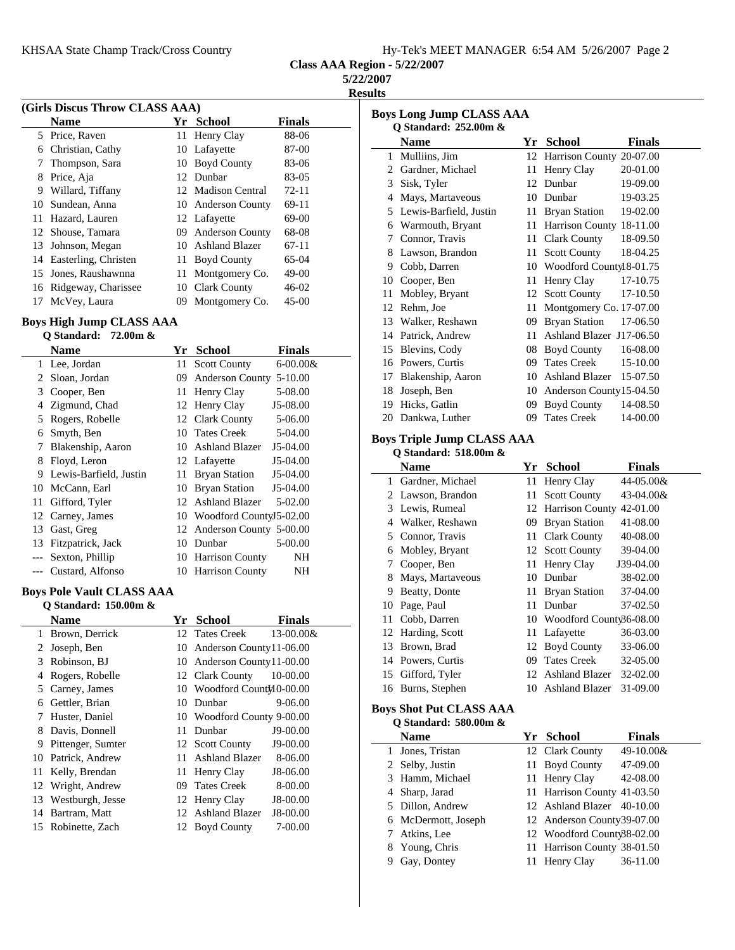| Hy-Tek's MEET MANAGER 6:54 AM 5/26/2007 Page 2 |  |  |  |  |  |  |  |
|------------------------------------------------|--|--|--|--|--|--|--|
|------------------------------------------------|--|--|--|--|--|--|--|

**Class AAA Region - 5/22/2007**

**5/22/2007**

**Results**

| (Girls Discus Throw CLASS AAA) |                      |    |                    |               |  |  |
|--------------------------------|----------------------|----|--------------------|---------------|--|--|
|                                | <b>Name</b>          |    | Yr School          | <b>Finals</b> |  |  |
| 5                              | Price, Raven         |    | 11 Henry Clay      | 88-06         |  |  |
| 6                              | Christian, Cathy     |    | 10 Lafayette       | 87-00         |  |  |
| 7                              | Thompson, Sara       | 10 | <b>Boyd County</b> | 83-06         |  |  |
| 8                              | Price, Aja           |    | 12 Dunbar          | 83-05         |  |  |
| 9                              | Willard, Tiffany     |    | 12 Madison Central | $72 - 11$     |  |  |
| 10                             | Sundean, Anna        |    | 10 Anderson County | $69-11$       |  |  |
| 11                             | Hazard, Lauren       |    | 12 Lafayette       | 69-00         |  |  |
|                                | 12 Shouse, Tamara    |    | 09 Anderson County | 68-08         |  |  |
| 13                             | Johnson, Megan       | 10 | Ashland Blazer     | $67-11$       |  |  |
| 14                             | Easterling, Christen | 11 | <b>Boyd County</b> | 65-04         |  |  |
| 15                             | Jones, Raushawnna    | 11 | Montgomery Co.     | $49-00$       |  |  |
| 16                             | Ridgeway, Charissee  | 10 | Clark County       | $46-02$       |  |  |
| 17                             | McVey, Laura         | 09 | Montgomery Co.     | $45-00$       |  |  |

## **Boys High Jump CLASS AAA**

 $\sim$ 

|    | Q Standard: $72.00m$ & |     |                            |               |
|----|------------------------|-----|----------------------------|---------------|
|    | <b>Name</b>            | Yr  | <b>School</b>              | <b>Finals</b> |
| 1  | Lee, Jordan            |     | 11 Scott County            | $6 - 00.00 &$ |
| 2  | Sloan, Jordan          | 09. | <b>Anderson County</b>     | $5 - 10.00$   |
| 3  | Cooper, Ben            |     | 11 Henry Clay              | 5-08.00       |
| 4  | Zigmund, Chad          |     | 12 Henry Clay              | J5-08.00      |
| 5  | Rogers, Robelle        |     | 12 Clark County            | 5-06.00       |
| 6  | Smyth, Ben             |     | 10 Tates Creek             | 5-04.00       |
| 7  | Blakenship, Aaron      |     | 10 Ashland Blazer          | $J5-04.00$    |
| 8  | Floyd, Leron           |     | 12 Lafayette               | J5-04.00      |
| 9  | Lewis-Barfield, Justin | 11  | <b>Bryan Station</b>       | J5-04.00      |
| 10 | McCann, Earl           | 10  | Bryan Station              | $J5-04.00$    |
| 11 | Gifford, Tyler         | 12  | <b>Ashland Blazer</b>      | 5-02.00       |
| 12 | Carney, James          | 10- | Woodford County 5-02.00    |               |
| 13 | Gast, Greg             |     | 12 Anderson County 5-00.00 |               |
| 13 | Fitzpatrick, Jack      | 10  | Dunbar                     | 5-00.00       |
|    | Sexton, Phillip        |     | 10 Harrison County         | NΗ            |
|    | Custard, Alfonso       |     | 10 Harrison County         | NH            |

#### **Boys Pole Vault CLASS AAA Q Standard: 150.00m &**

| O Stanual u; 150.00111 & |                   |    |                            |               |
|--------------------------|-------------------|----|----------------------------|---------------|
|                          | Name              | Yr | School                     | <b>Finals</b> |
| 1                        | Brown, Derrick    |    | 12 Tates Creek             | 13-00.00&     |
| 2                        | Joseph, Ben       |    | 10 Anderson County11-06.00 |               |
| 3                        | Robinson, BJ      | 10 | Anderson County 11-00.00   |               |
| 4                        | Rogers, Robelle   |    | 12 Clark County            | 10-00.00      |
| 5                        | Carney, James     |    | 10 Woodford CountJ10-00.00 |               |
| 6                        | Gettler, Brian    | 10 | Dunbar                     | 9-06.00       |
|                          | Huster, Daniel    |    | 10 Woodford County 9-00.00 |               |
| 8                        | Davis, Donnell    | 11 | Dunbar                     | J9-00.00      |
| 9                        | Pittenger, Sumter |    | 12 Scott County            | $J9-00.00$    |
| 10                       | Patrick, Andrew   | 11 | <b>Ashland Blazer</b>      | 8-06.00       |
| 11                       | Kelly, Brendan    | 11 | Henry Clay                 | J8-06.00      |
|                          | 12 Wright, Andrew | 09 | Tates Creek                | 8-00.00       |
| 13                       | Westburgh, Jesse  |    | 12 Henry Clay              | J8-00.00      |
| 14                       | Bartram, Matt     |    | 12 Ashland Blazer          | J8-00.00      |
| 15                       | Robinette, Zach   |    | 12 Boyd County             | 7-00.00       |
|                          |                   |    |                            |               |

| <b>Boys Long Jump CLASS AAA</b> |                        |    |                          |          |  |  |  |
|---------------------------------|------------------------|----|--------------------------|----------|--|--|--|
|                                 | Q Standard: 252.00m &  |    |                          |          |  |  |  |
|                                 | <b>Name</b>            | Yr | <b>School</b>            | Finals   |  |  |  |
| 1                               | Mulliins, Jim          | 12 | Harrison County 20-07.00 |          |  |  |  |
| 2.                              | Gardner, Michael       | 11 | Henry Clay               | 20-01.00 |  |  |  |
| 3                               | Sisk, Tyler            | 12 | Dunbar                   | 19-09.00 |  |  |  |
| 4                               | Mays, Martaveous       | 10 | Dunbar                   | 19-03.25 |  |  |  |
| 5                               | Lewis-Barfield, Justin | 11 | <b>Bryan Station</b>     | 19-02.00 |  |  |  |
| 6                               | Warmouth, Bryant       | 11 | Harrison County 18-11.00 |          |  |  |  |
| 7                               | Connor, Travis         | 11 | Clark County             | 18-09.50 |  |  |  |
| 8                               | Lawson, Brandon        | 11 | <b>Scott County</b>      | 18-04.25 |  |  |  |
| 9                               | Cobb, Darren           | 10 | Woodford Countyl 8-01.75 |          |  |  |  |
| 10                              | Cooper, Ben            | 11 | Henry Clay               | 17-10.75 |  |  |  |
| 11                              | Mobley, Bryant         | 12 | <b>Scott County</b>      | 17-10.50 |  |  |  |
| 12                              | Rehm, Joe              | 11 | Montgomery Co. 17-07.00  |          |  |  |  |
| 13                              | Walker, Reshawn        | 09 | <b>Bryan Station</b>     | 17-06.50 |  |  |  |
| 14                              | Patrick, Andrew        | 11 | Ashland Blazer J17-06.50 |          |  |  |  |
| 15                              | Blevins, Cody          | 08 | Boyd County              | 16-08.00 |  |  |  |
| 16                              | Powers, Curtis         | 09 | <b>Tates Creek</b>       | 15-10.00 |  |  |  |
| 17                              | Blakenship, Aaron      | 10 | <b>Ashland Blazer</b>    | 15-07.50 |  |  |  |
| 18                              | Joseph, Ben            | 10 | Anderson County15-04.50  |          |  |  |  |
| 19                              | Hicks, Gatlin          | 09 | <b>Boyd County</b>       | 14-08.50 |  |  |  |
| 20                              | Dankwa, Luther         | 09 | <b>Tates Creek</b>       | 14-00.00 |  |  |  |

### **Boys Triple Jump CLASS AAA Q Standard: 518.00m &**

|                       | Q Standard: $518.00m \&$ |     |                             |               |
|-----------------------|--------------------------|-----|-----------------------------|---------------|
|                       | Name                     | Yr  | <b>School</b>               | <b>Finals</b> |
| 1.                    | Gardner, Michael         | 11. | Henry Clay                  | 44-05.00&     |
| $\mathbf{2}^{\prime}$ | Lawson, Brandon          | 11  | <b>Scott County</b>         | 43-04.00&     |
| 3                     | Lewis, Rumeal            |     | 12 Harrison County          | 42-01.00      |
| 4                     | Walker, Reshawn          | 09. | <b>Bryan Station</b>        | 41-08.00      |
| 5.                    | Connor, Travis           |     | 11 Clark County             | 40-08.00      |
| 6                     | Mobley, Bryant           |     | 12 Scott County             | 39-04.00      |
| 7                     | Cooper, Ben              | 11  | Henry Clay                  | J39-04.00     |
| 8                     | Mays, Martaveous         | 10  | Dunbar                      | 38-02.00      |
| 9                     | Beatty, Donte            | 11. | <b>Bryan Station</b>        | 37-04.00      |
| 10                    | Page, Paul               | 11  | Dunbar                      | 37-02.50      |
| 11                    | Cobb, Darren             |     | 10 Woodford Count \$6-08.00 |               |
|                       | 12 Harding, Scott        | 11  | Lafayette                   | 36-03.00      |
| 13                    | Brown, Brad              | 12  | <b>Boyd County</b>          | 33-06.00      |
| 14                    | Powers, Curtis           | 09  | <b>Tates Creek</b>          | 32-05.00      |
| 15                    | Gifford, Tyler           | 12  | <b>Ashland Blazer</b>       | 32-02.00      |
| 16                    | Burns, Stephen           | 10  | <b>Ashland Blazer</b>       | 31-09.00      |
|                       |                          |     |                             |               |

### **Boys Shot Put CLASS AAA Q Standard: 580.00m &**

|    | <b>Name</b>         | Yr School                   | <b>Finals</b> |
|----|---------------------|-----------------------------|---------------|
| 1. | Jones, Tristan      | 12 Clark County             | 49-10.00&     |
|    | 2 Selby, Justin     | 11 Boyd County              | 47-09.00      |
|    | 3 Hamm, Michael     | 11 Henry Clay               | 42-08.00      |
|    | 4 Sharp, Jarad      | 11 Harrison County 41-03.50 |               |
|    | 5 Dillon, Andrew    | 12 Ashland Blazer 40-10.00  |               |
|    | 6 McDermott, Joseph | 12 Anderson County 39-07.00 |               |
|    | 7 Atkins, Lee       | 12 Woodford Count \$8-02.00 |               |
|    | 8 Young, Chris      | 11 Harrison County 38-01.50 |               |
|    | Gay, Dontey         | 11 Henry Clay               | 36-11.00      |